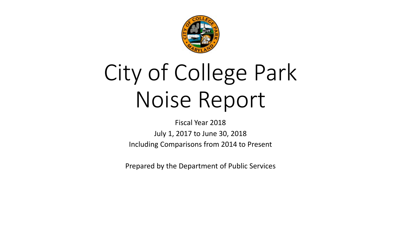

# City of College Park Noise Report

Fiscal Year 2018 July 1, 2017 to June 30, 2018 Including Comparisons from 2014 to Present

Prepared by the Department of Public Services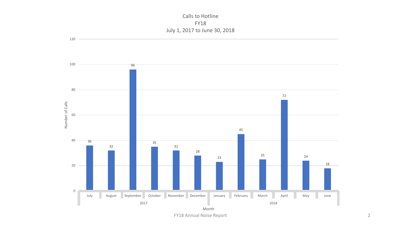Calls to Hotline FY18 July 1, 2017 to June 30, 2018



FY18 Annual Noise Report 2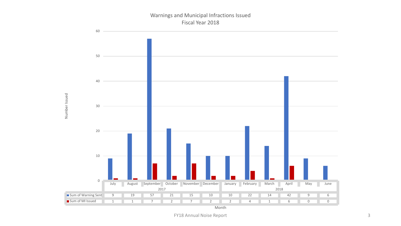#### Warnings and Municipal Infractions Issued Fiscal Year 2018

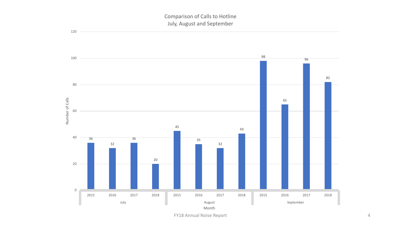

FY18 Annual Noise Report 4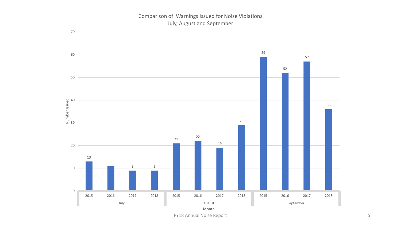# Comparison of Warnings Issued for Noise Violations July, August and September

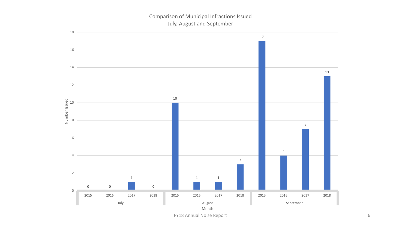# Comparison of Municipal Infractions Issued July, August and September

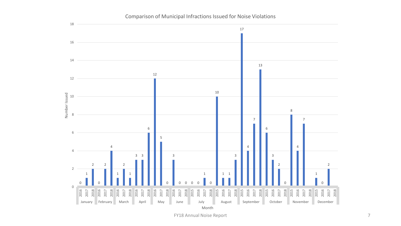

#### Comparison of Municipal Infractions Issued for Noise Violations

FY18 Annual Noise Report 7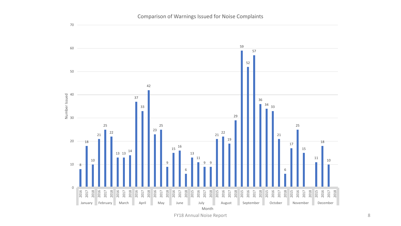

FY18 Annual Noise Report 8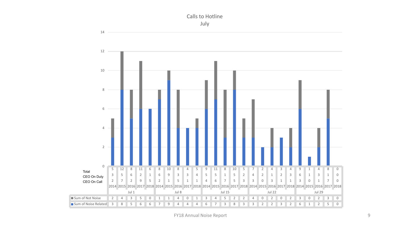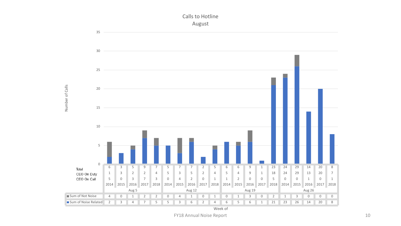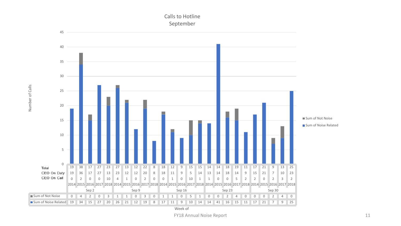

Number of Calls

Number of Calls

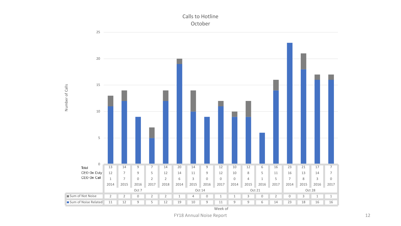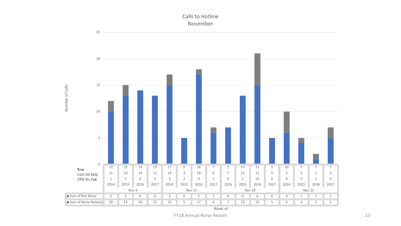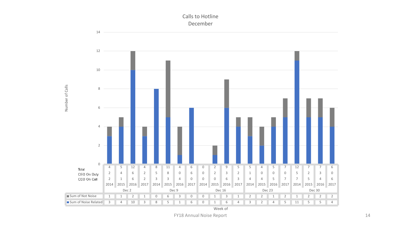



FY18 Annual Noise Report 14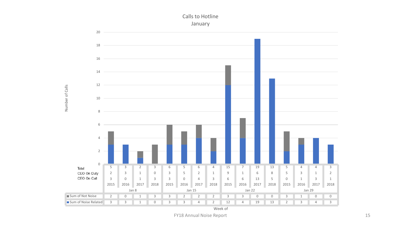

Calls to Hotline January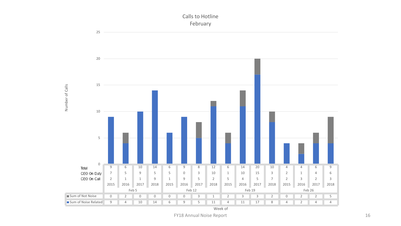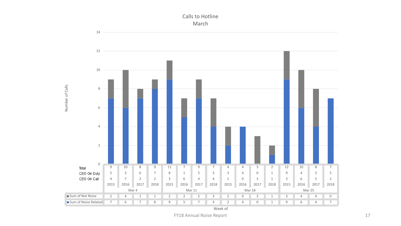

Calls to Hotline March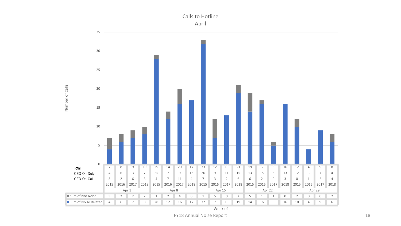

Week of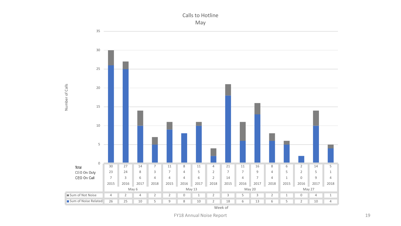

Calls to Hotline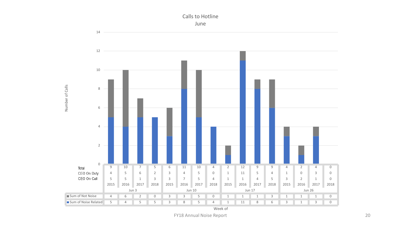

Calls to Hotline June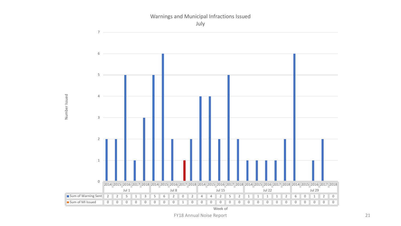

Warnings and Municipal Infractions Issued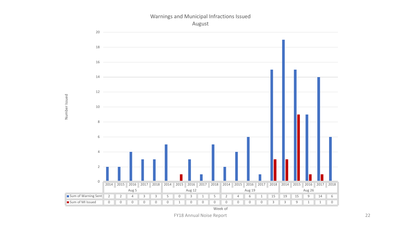

#### Warnings and Municipal Infractions Issued August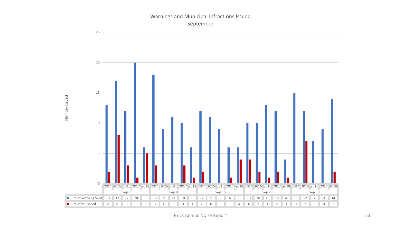#### Warnings and Municipal Infractions Issued September

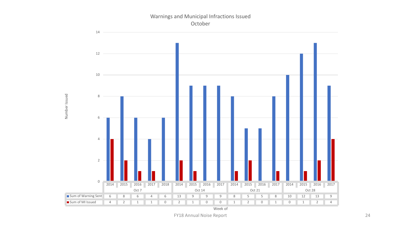

Number Issued

Number Issued

Warnings and Municipal Infractions Issued October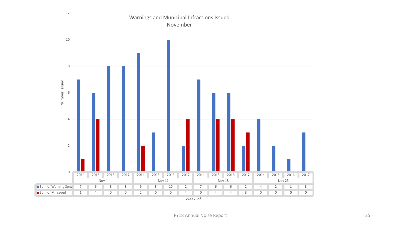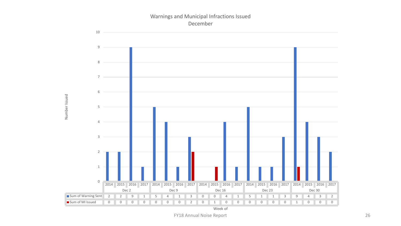#### Warnings and Municipal Infractions Issued December

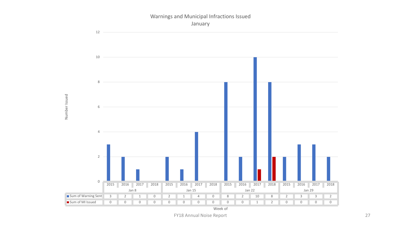## Warnings and Municipal Infractions Issued January

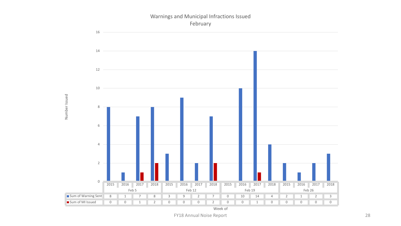# Warnings and Municipal Infractions Issued February

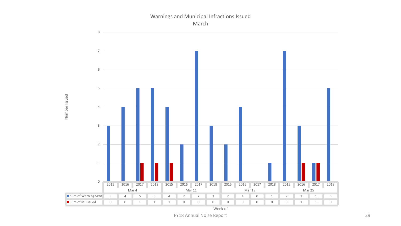#### Warnings and Municipal Infractions Issued March



Number Issued

Number Issued

Week of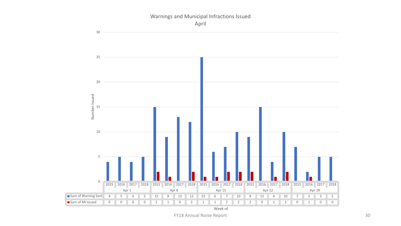#### Warnings and Municipal Infractions Issued April



Week of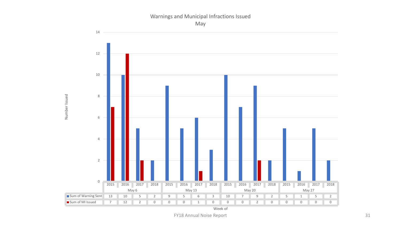# Warnings and Municipal Infractions Issued

May



Number Issued

Week of